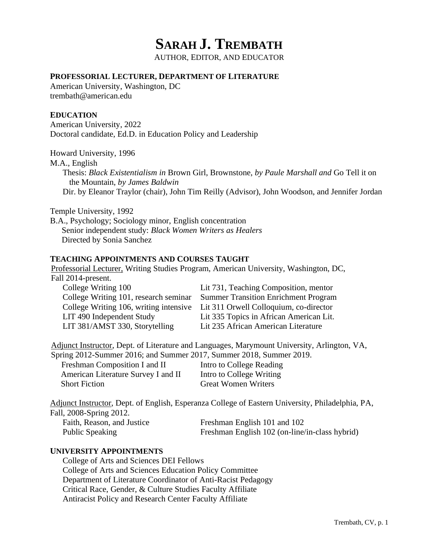# **SARAH J. TREMBATH**

AUTHOR, EDITOR, AND EDUCATOR

## **PROFESSORIAL LECTURER, DEPARTMENT OF LITERATURE**

American University, Washington, DC [trembath@american.edu](mailto:trembath@american.edu)

## **EDUCATION**

American University, 2022 Doctoral candidate, Ed.D. in Education Policy and Leadership

Howard University, 1996

M.A., English

Thesis: *Black Existentialism in* Brown Girl, Brownstone, *by Paule Marshall and* Go Tell it on the Mountain, *by James Baldwin* Dir. by Eleanor Traylor (chair), John Tim Reilly (Advisor), John Woodson, and Jennifer Jordan

Temple University, 1992

B.A., Psychology; Sociology minor, English concentration Senior independent study: *Black Women Writers as Healers* Directed by Sonia Sanchez

### **TEACHING APPOINTMENTS AND COURSES TAUGHT**

Professorial Lecturer, Writing Studies Program, American University, Washington, DC, Fall 2014-present.

| Lit 731, Teaching Composition, mentor                                         |
|-------------------------------------------------------------------------------|
| College Writing 101, research seminar Summer Transition Enrichment Program    |
| College Writing 106, writing intensive Lit 311 Orwell Colloquium, co-director |
| Lit 335 Topics in African American Lit.                                       |
| Lit 235 African American Literature                                           |
|                                                                               |

Adjunct Instructor, Dept. of Literature and Languages, Marymount University, Arlington, VA,

Spring 2012-Summer 2016; and Summer 2017, Summer 2018, Summer 2019. Freshman Composition I and II Intro to College Reading American Literature Survey I and II Intro to College Writing Short Fiction **Great Women Writers** 

Adjunct Instructor, Dept. of English, Esperanza College of Eastern University, Philadelphia, PA, Fall, 2008-Spring 2012.

Faith, Reason, and Justice Freshman English 101 and 102 Public Speaking Freshman English 102 (on-line/in-class hybrid)

# **UNIVERSITY APPOINTMENTS**

College of Arts and Sciences DEI Fellows College of Arts and Sciences Education Policy Committee Department of Literature Coordinator of Anti-Racist Pedagogy Critical Race, Gender, & Culture Studies Faculty Affiliate Antiracist Policy and Research Center Faculty Affiliate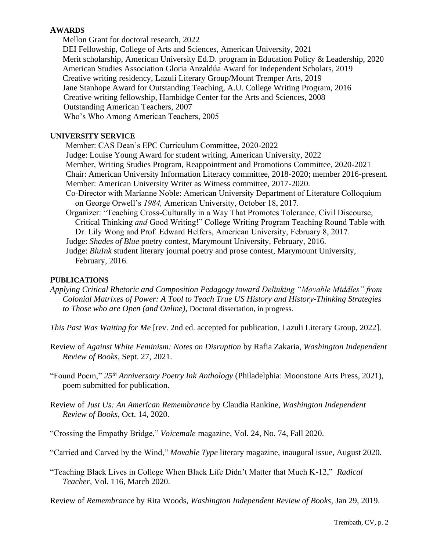## **AWARDS**

Mellon Grant for doctoral research, 2022

 DEI Fellowship, College of Arts and Sciences, American University, 2021 Merit scholarship, American University Ed.D. program in Education Policy & Leadership, 2020 American Studies Association Gloria Anzaldúa Award for Independent Scholars, 2019 Creative writing residency, Lazuli Literary Group/Mount Tremper Arts, 2019 Jane Stanhope Award for Outstanding Teaching, A.U. College Writing Program, 2016 Creative writing fellowship, Hambidge Center for the Arts and Sciences, 2008 Outstanding American Teachers, 2007 Who's Who Among American Teachers, 2005

#### **UNIVERSITY SERVICE**

Member: CAS Dean's EPC Curriculum Committee, 2020-2022 Judge: Louise Young Award for student writing, American University, 2022 Member, Writing Studies Program, Reappointment and Promotions Committee, 2020-2021 Chair: American University Information Literacy committee, 2018-2020; member 2016-present. Member: American University Writer as Witness committee, 2017-2020. Co-Director with Marianne Noble: American University Department of Literature Colloquium on George Orwell's *1984,* American University, October 18, 2017. Organizer: "Teaching Cross-Culturally in a Way That Promotes Tolerance, Civil Discourse,

- Critical Thinking *and* Good Writing!" College Writing Program Teaching Round Table with Dr. Lily Wong and Prof. Edward Helfers, American University, February 8, 2017.
- Judge: *Shades of Blue* poetry contest, Marymount University, February, 2016.
- Judge: *BluInk* student literary journal poetry and prose contest, Marymount University, February, 2016.

### **PUBLICATIONS**

- *Applying Critical Rhetoric and Composition Pedagogy toward Delinking "Movable Middles" from Colonial Matrixes of Power: A Tool to Teach True US History and History-Thinking Strategies to Those who are Open (and Online),* Doctoral dissertation, in progress.
- *This Past Was Waiting for Me* [rev. 2nd ed. accepted for publication, Lazuli Literary Group, 2022].
- Review of *Against White Feminism: Notes on Disruption* by Rafia Zakaria, *Washington Independent Review of Books,* Sept. 27, 2021.
- "Found Poem," *25th Anniversary Poetry Ink Anthology* (Philadelphia: Moonstone Arts Press, 2021), poem submitted for publication.
- Review of *Just Us: An American Remembrance* by Claudia Rankine, *Washington Independent Review of Books,* Oct. 14, 2020.

"Crossing the Empathy Bridge," *Voicemale* magazine, Vol. 24, No. 74, Fall 2020.

- "Carried and Carved by the Wind," *Movable Type* literary magazine, inaugural issue, August 2020.
- "Teaching Black Lives in College When Black Life Didn't Matter that Much K-12," *Radical Teacher,* Vol. 116, March 2020.

Review of *Remembrance* by Rita Woods, *Washington Independent Review of Books,* Jan 29, 2019.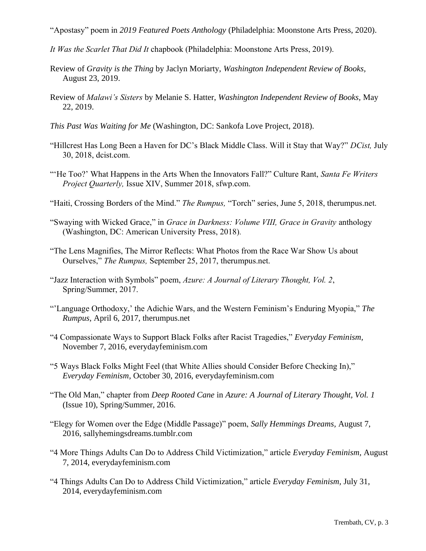"Apostasy" poem in *2019 Featured Poets Anthology* (Philadelphia: Moonstone Arts Press, 2020).

- *It Was the Scarlet That Did It* chapbook (Philadelphia: Moonstone Arts Press, 2019).
- Review of *Gravity is the Thing* by Jaclyn Moriarty, *Washington Independent Review of Books,* August 23, 2019.
- Review of *Malawi's Sisters* by Melanie S. Hatter, *Washington Independent Review of Books,* May 22, 2019.
- *This Past Was Waiting for Me* (Washington, DC: Sankofa Love Project, 2018).
- "Hillcrest Has Long Been a Haven for DC's Black Middle Class. Will it Stay that Way?" *DCist,* July 30, 2018, dcist.com.
- "'He Too?' What Happens in the Arts When the Innovators Fall?" Culture Rant, *Santa Fe Writers Project Quarterly,* Issue XIV, Summer 2018, sfwp.com.
- "Haiti, Crossing Borders of the Mind." *The Rumpus,* "Torch" series, June 5, 2018, therumpus.net.
- "Swaying with Wicked Grace," in *Grace in Darkness: Volume VIII, Grace in Gravity* anthology (Washington, DC: American University Press, 2018)*.*
- "The Lens Magnifies, The Mirror Reflects: What Photos from the Race War Show Us about Ourselves," *The Rumpus,* September 25, 2017, therumpus.net.
- "Jazz Interaction with Symbols" poem, *Azure: A Journal of Literary Thought, Vol. 2*, Spring/Summer, 2017.
- "'Language Orthodoxy,' the Adichie Wars, and the Western Feminism's Enduring Myopia," *The Rumpus,* April 6, 2017, therumpus.net
- "4 Compassionate Ways to Support Black Folks after Racist Tragedies," *Everyday Feminism,* November 7, 2016, everydayfeminism.com
- "5 Ways Black Folks Might Feel (that White Allies should Consider Before Checking In)," *Everyday Feminism,* October 30, 2016, everydayfeminism.com
- "The Old Man," chapter from *Deep Rooted Cane* in *Azure: A Journal of Literary Thought, Vol. 1* (Issue 10), Spring/Summer, 2016.
- "Elegy for Women over the Edge (Middle Passage)" poem, *Sally Hemmings Dreams,* August 7, 2016, sallyhemingsdreams.tumblr.com
- "4 More Things Adults Can Do to Address Child Victimization," article *Everyday Feminism,* August 7, 2014, everydayfeminism.com
- "4 Things Adults Can Do to Address Child Victimization," article *Everyday Feminism,* July 31, 2014, everydayfeminism.com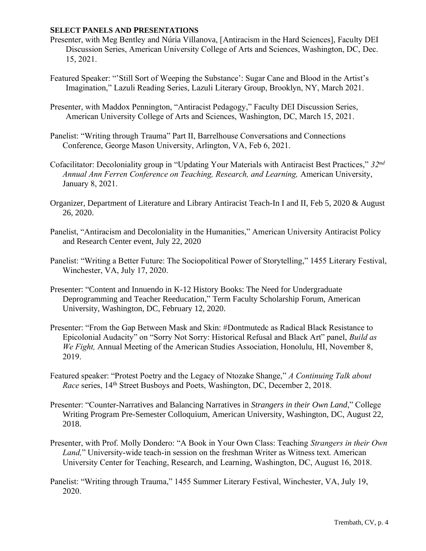#### **SELECT PANELS AND PRESENTATIONS**

- Presenter, with Meg Bentley and Núria Villanova, [Antiracism in the Hard Sciences], Faculty DEI Discussion Series, American University College of Arts and Sciences, Washington, DC, Dec. 15, 2021.
- Featured Speaker: "'Still Sort of Weeping the Substance': Sugar Cane and Blood in the Artist's Imagination," Lazuli Reading Series, Lazuli Literary Group, Brooklyn, NY, March 2021.
- Presenter, with Maddox Pennington, "Antiracist Pedagogy," Faculty DEI Discussion Series, American University College of Arts and Sciences, Washington, DC, March 15, 2021.
- Panelist: "Writing through Trauma" Part II, Barrelhouse Conversations and Connections Conference, George Mason University, Arlington, VA, Feb 6, 2021.
- Cofacilitator: Decoloniality group in "Updating Your Materials with Antiracist Best Practices," *32nd Annual Ann Ferren Conference on Teaching, Research, and Learning,* American University, January 8, 2021.
- Organizer, Department of Literature and Library Antiracist Teach-In I and II, Feb 5, 2020 & August 26, 2020.
- Panelist, "Antiracism and Decoloniality in the Humanities," American University Antiracist Policy and Research Center event, July 22, 2020
- Panelist: "Writing a Better Future: The Sociopolitical Power of Storytelling," 1455 Literary Festival, Winchester, VA, July 17, 2020.
- Presenter: "Content and Innuendo in K-12 History Books: The Need for Undergraduate Deprogramming and Teacher Reeducation," Term Faculty Scholarship Forum, American University, Washington, DC, February 12, 2020.
- Presenter: "From the Gap Between Mask and Skin: #Dontmutedc as Radical Black Resistance to Epicolonial Audacity" on "Sorry Not Sorry: Historical Refusal and Black Art" panel, *Build as We Fight,* Annual Meeting of the American Studies Association, Honolulu, HI, November 8, 2019.
- Featured speaker: "Protest Poetry and the Legacy of Ntozake Shange," *A Continuing Talk about Race* series, 14<sup>th</sup> Street Busboys and Poets, Washington, DC, December 2, 2018.
- Presenter: "Counter-Narratives and Balancing Narratives in *Strangers in their Own Land*," College Writing Program Pre-Semester Colloquium, American University, Washington, DC, August 22, 2018.
- Presenter, with Prof. Molly Dondero: "A Book in Your Own Class: Teaching *Strangers in their Own Land,*" University-wide teach-in session on the freshman Writer as Witness text. American University Center for Teaching, Research, and Learning, Washington, DC, August 16, 2018.
- Panelist: "Writing through Trauma," 1455 Summer Literary Festival, Winchester, VA, July 19, 2020.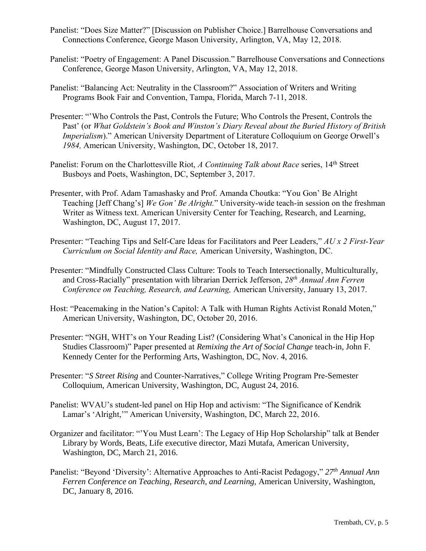- Panelist: "Does Size Matter?" [Discussion on Publisher Choice.] Barrelhouse Conversations and Connections Conference, George Mason University, Arlington, VA, May 12, 2018.
- Panelist: "Poetry of Engagement: A Panel Discussion." Barrelhouse Conversations and Connections Conference, George Mason University, Arlington, VA, May 12, 2018.
- Panelist: "Balancing Act: Neutrality in the Classroom?" Association of Writers and Writing Programs Book Fair and Convention, Tampa, Florida, March 7-11, 2018.
- Presenter: "'Who Controls the Past, Controls the Future; Who Controls the Present, Controls the Past' (or *What Goldstein's Book and Winston's Diary Reveal about the Buried History of British Imperialism*)." American University Department of Literature Colloquium on George Orwell's *1984,* American University, Washington, DC, October 18, 2017.
- Panelist: Forum on the Charlottesville Riot, *A Continuing Talk about Race* series, 14<sup>th</sup> Street Busboys and Poets, Washington, DC, September 3, 2017.
- Presenter, with Prof. Adam Tamashasky and Prof. Amanda Choutka: "You Gon' Be Alright Teaching [Jeff Chang's] *We Gon' Be Alright.*" University-wide teach-in session on the freshman Writer as Witness text. American University Center for Teaching, Research, and Learning, Washington, DC, August 17, 2017.
- Presenter: "Teaching Tips and Self-Care Ideas for Facilitators and Peer Leaders," *AU x 2 First-Year Curriculum on Social Identity and Race,* American University, Washington, DC.
- Presenter: "Mindfully Constructed Class Culture: Tools to Teach Intersectionally, Multiculturally, and Cross-Racially" presentation with librarian Derrick Jefferson, *28th Annual Ann Ferren Conference on Teaching, Research, and Learning,* American University, January 13, 2017.
- Host: "Peacemaking in the Nation's Capitol: A Talk with Human Rights Activist Ronald Moten," American University, Washington, DC, October 20, 2016.
- Presenter: "NGH, WHT's on Your Reading List? (Considering What's Canonical in the Hip Hop Studies Classroom)" Paper presented at *Remixing the Art of Social Change* teach-in, John F. Kennedy Center for the Performing Arts, Washington, DC, Nov. 4, 2016.
- Presenter: "*S Street Rising* and Counter-Narratives," College Writing Program Pre-Semester Colloquium, American University, Washington, DC, August 24, 2016.
- Panelist: WVAU's student-led panel on Hip Hop and activism: "The Significance of Kendrik Lamar's 'Alright,'" American University, Washington, DC, March 22, 2016.
- Organizer and facilitator: "'You Must Learn': The Legacy of Hip Hop Scholarship" talk at Bender Library by Words, Beats, Life executive director, Mazi Mutafa, American University, Washington, DC, March 21, 2016.
- Panelist: "Beyond 'Diversity': Alternative Approaches to Anti-Racist Pedagogy," *27th Annual Ann Ferren Conference on Teaching, Research, and Learning,* American University, Washington, DC, January 8, 2016.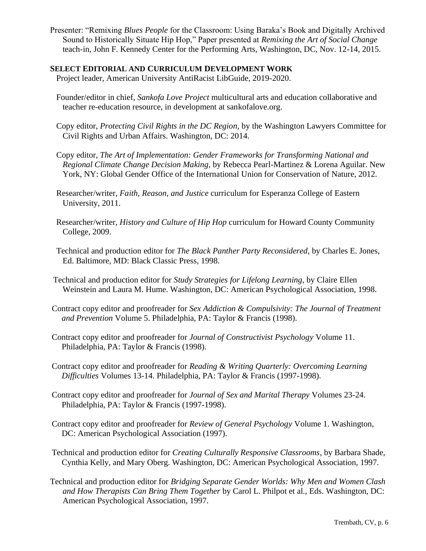Presenter: "Remixing *Blues People* for the Classroom: Using Baraka's Book and Digitally Archived Sound to Historically Situate Hip Hop," Paper presented at *Remixing the Art of Social Change*  teach-in, John F. Kennedy Center for the Performing Arts, Washington, DC, Nov. 12-14, 2015.

#### **SELECT EDITORIAL AND CURRICULUM DEVELOPMENT WORK**

Project leader, American University AntiRacist LibGuide, 2019-2020.

- Founder/editor in chief, *Sankofa Love Project* multicultural arts and education collaborative and teacher re-education resource, in development at sankofalove.org.
- Copy editor, *Protecting Civil Rights in the DC Region,* by the Washington Lawyers Committee for Civil Rights and Urban Affairs. Washington, DC: 2014.
- Copy editor, *The Art of Implementation: Gender Frameworks for Transforming National and Regional Climate Change Decision Making,* by Rebecca Pearl-Martinez & Lorena Aguilar. New York, NY: Global Gender Office of the International Union for Conservation of Nature, 2012.
- Researcher/writer, *Faith, Reason, and Justice* curriculum for Esperanza College of Eastern University, 2011.
- Researcher/writer, *History and Culture of Hip Hop* curriculum for Howard County Community College, 2009.
- Technical and production editor for *The Black Panther Party Reconsidered*, by Charles E. Jones, Ed. Baltimore, MD: Black Classic Press, 1998.
- Technical and production editor for *Study Strategies for Lifelong Learning*, by Claire Ellen Weinstein and Laura M. Hume. Washington, DC: American Psychological Association, 1998.
- Contract copy editor and proofreader for *Sex Addiction & Compulsivity: The Journal of Treatment and Prevention* Volume 5. Philadelphia, PA: Taylor & Francis (1998).
- Contract copy editor and proofreader for *Journal of Constructivist Psychology* Volume 11. Philadelphia, PA: Taylor & Francis (1998).
- Contract copy editor and proofreader for *Reading & Writing Quarterly: Overcoming Learning Difficulties* Volumes 13-14. Philadelphia, PA: Taylor & Francis (1997-1998).
- Contract copy editor and proofreader for *Journal of Sex and Marital Therapy* Volumes 23-24. Philadelphia, PA: Taylor & Francis (1997-1998).
- Contract copy editor and proofreader for *Review of General Psychology* Volume 1. Washington, DC: American Psychological Association (1997).
- Technical and production editor for *Creating Culturally Responsive Classrooms*, by Barbara Shade, Cynthia Kelly, and Mary Oberg. Washington, DC: American Psychological Association, 1997.
- Technical and production editor for *Bridging Separate Gender Worlds: Why Men and Women Clash and How Therapists Can Bring Them Together* by Carol L. Philpot et al., Eds. Washington, DC: American Psychological Association, 1997.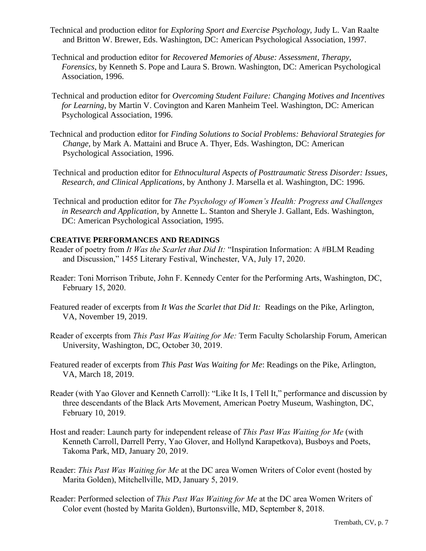- Technical and production editor for *Exploring Sport and Exercise Psychology,* Judy L. Van Raalte and Britton W. Brewer, Eds. Washington, DC: American Psychological Association, 1997.
- Technical and production editor for *Recovered Memories of Abuse: Assessment*, *Therapy, Forensics*, by Kenneth S. Pope and Laura S. Brown. Washington, DC: American Psychological Association, 1996.
- Technical and production editor for *Overcoming Student Failure: Changing Motives and Incentives for Learning*, by Martin V. Covington and Karen Manheim Teel. Washington, DC: American Psychological Association, 1996.
- Technical and production editor for *Finding Solutions to Social Problems: Behavioral Strategies for Change,* by Mark A. Mattaini and Bruce A. Thyer, Eds. Washington, DC: American Psychological Association, 1996.
- Technical and production editor for *Ethnocultural Aspects of Posttraumatic Stress Disorder: Issues, Research, and Clinical Applications,* by Anthony J. Marsella et al. Washington, DC: 1996.
- Technical and production editor for *The Psychology of Women's Health: Progress and Challenges in Research and Application,* by Annette L. Stanton and Sheryle J. Gallant, Eds. Washington, DC: American Psychological Association, 1995.

### **CREATIVE PERFORMANCES AND READINGS**

- Reader of poetry from *It Was the Scarlet that Did It:* "Inspiration Information: A #BLM Reading and Discussion," 1455 Literary Festival, Winchester, VA, July 17, 2020.
- Reader: Toni Morrison Tribute, John F. Kennedy Center for the Performing Arts, Washington, DC, February 15, 2020.
- Featured reader of excerpts from *It Was the Scarlet that Did It:* Readings on the Pike, Arlington, VA, November 19, 2019.
- Reader of excerpts from *This Past Was Waiting for Me:* Term Faculty Scholarship Forum, American University, Washington, DC, October 30, 2019.
- Featured reader of excerpts from *This Past Was Waiting for Me*: Readings on the Pike, Arlington, VA, March 18, 2019.
- Reader (with Yao Glover and Kenneth Carroll): "Like It Is, I Tell It," performance and discussion by three descendants of the Black Arts Movement, American Poetry Museum, Washington, DC, February 10, 2019.
- Host and reader: Launch party for independent release of *This Past Was Waiting for Me* (with Kenneth Carroll, Darrell Perry, Yao Glover, and Hollynd Karapetkova), Busboys and Poets, Takoma Park, MD, January 20, 2019.
- Reader: *This Past Was Waiting for Me* at the DC area Women Writers of Color event (hosted by Marita Golden), Mitchellville, MD, January 5, 2019.
- Reader: Performed selection of *This Past Was Waiting for Me* at the DC area Women Writers of Color event (hosted by Marita Golden), Burtonsville, MD, September 8, 2018.